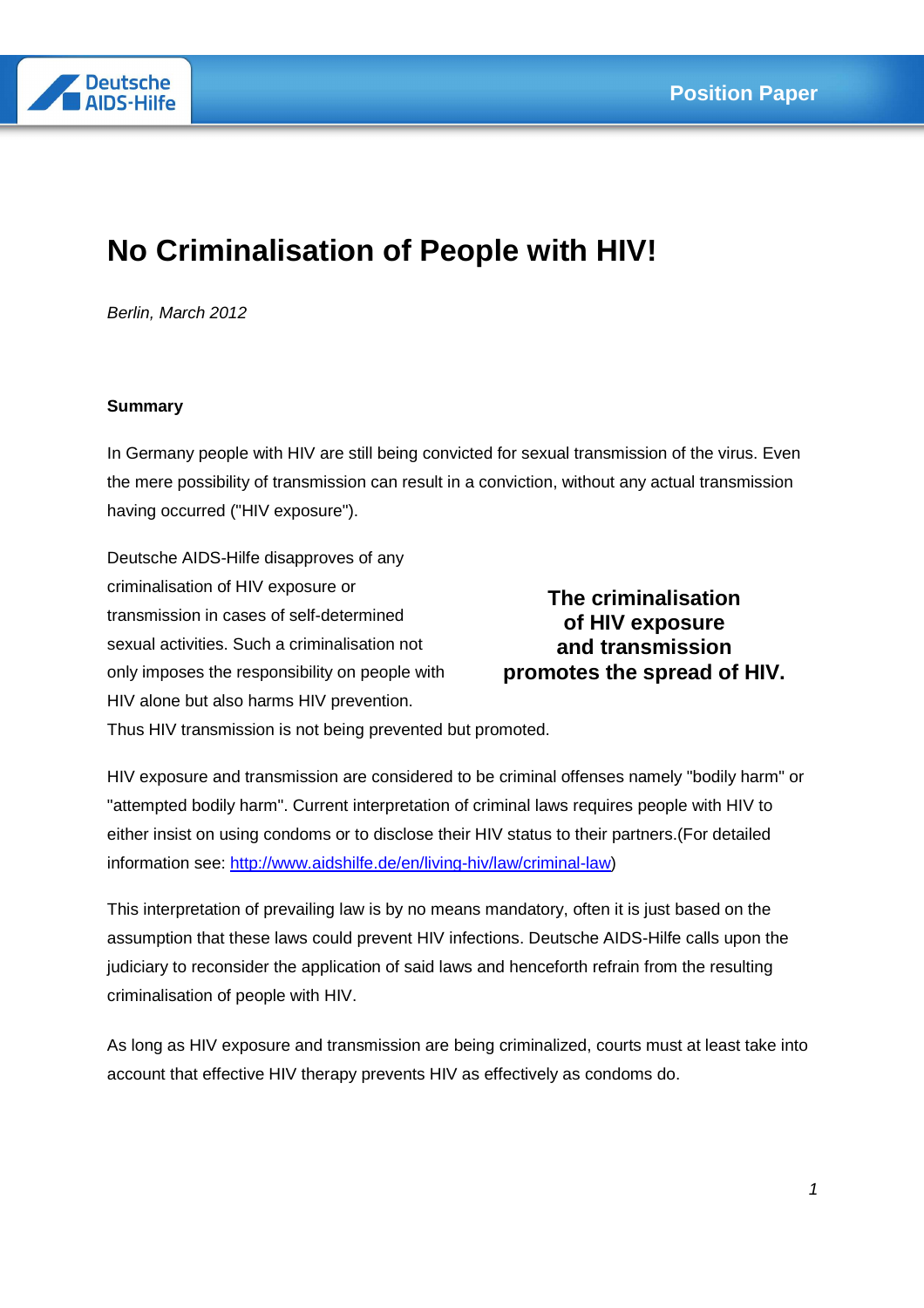

# **No Criminalisation of People with HIV!**

Berlin, March 2012

## **Summary**

In Germany people with HIV are still being convicted for sexual transmission of the virus. Even the mere possibility of transmission can result in a conviction, without any actual transmission having occurred ("HIV exposure").

Deutsche AIDS-Hilfe disapproves of any criminalisation of HIV exposure or transmission in cases of self-determined sexual activities. Such a criminalisation not only imposes the responsibility on people with HIV alone but also harms HIV prevention.

**The criminalisation of HIV exposure and transmission promotes the spread of HIV.** 

Thus HIV transmission is not being prevented but promoted.

HIV exposure and transmission are considered to be criminal offenses namely "bodily harm" or "attempted bodily harm". Current interpretation of criminal laws requires people with HIV to either insist on using condoms or to disclose their HIV status to their partners.(For detailed information see: http://www.aidshilfe.de/en/living-hiv/law/criminal-law)

This interpretation of prevailing law is by no means mandatory, often it is just based on the assumption that these laws could prevent HIV infections. Deutsche AIDS-Hilfe calls upon the judiciary to reconsider the application of said laws and henceforth refrain from the resulting criminalisation of people with HIV.

As long as HIV exposure and transmission are being criminalized, courts must at least take into account that effective HIV therapy prevents HIV as effectively as condoms do.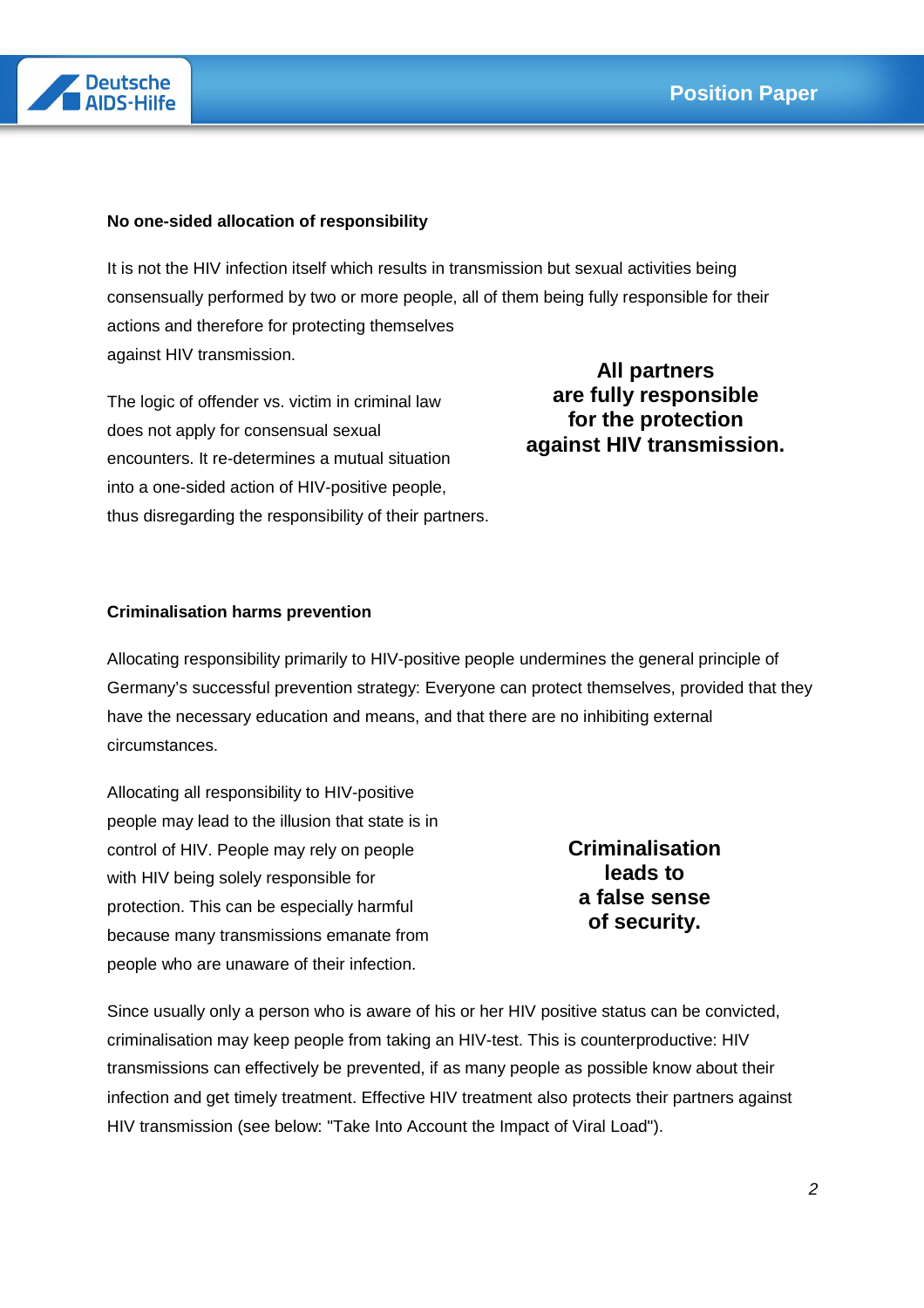

## **No one-sided allocation of responsibility**

It is not the HIV infection itself which results in transmission but sexual activities being consensually performed by two or more people, all of them being fully responsible for their actions and therefore for protecting themselves against HIV transmission.

The logic of offender vs. victim in criminal law does not apply for consensual sexual encounters. It re-determines a mutual situation into a one-sided action of HIV-positive people, thus disregarding the responsibility of their partners.

**All partners are fully responsible for the protection against HIV transmission.** 

#### **Criminalisation harms prevention**

Allocating responsibility primarily to HIV-positive people undermines the general principle of Germany's successful prevention strategy: Everyone can protect themselves, provided that they have the necessary education and means, and that there are no inhibiting external circumstances.

Allocating all responsibility to HIV-positive people may lead to the illusion that state is in control of HIV. People may rely on people with HIV being solely responsible for protection. This can be especially harmful because many transmissions emanate from people who are unaware of their infection.

**Criminalisation leads to a false sense of security.** 

Since usually only a person who is aware of his or her HIV positive status can be convicted, criminalisation may keep people from taking an HIV-test. This is counterproductive: HIV transmissions can effectively be prevented, if as many people as possible know about their infection and get timely treatment. Effective HIV treatment also protects their partners against HIV transmission (see below: "Take Into Account the Impact of Viral Load").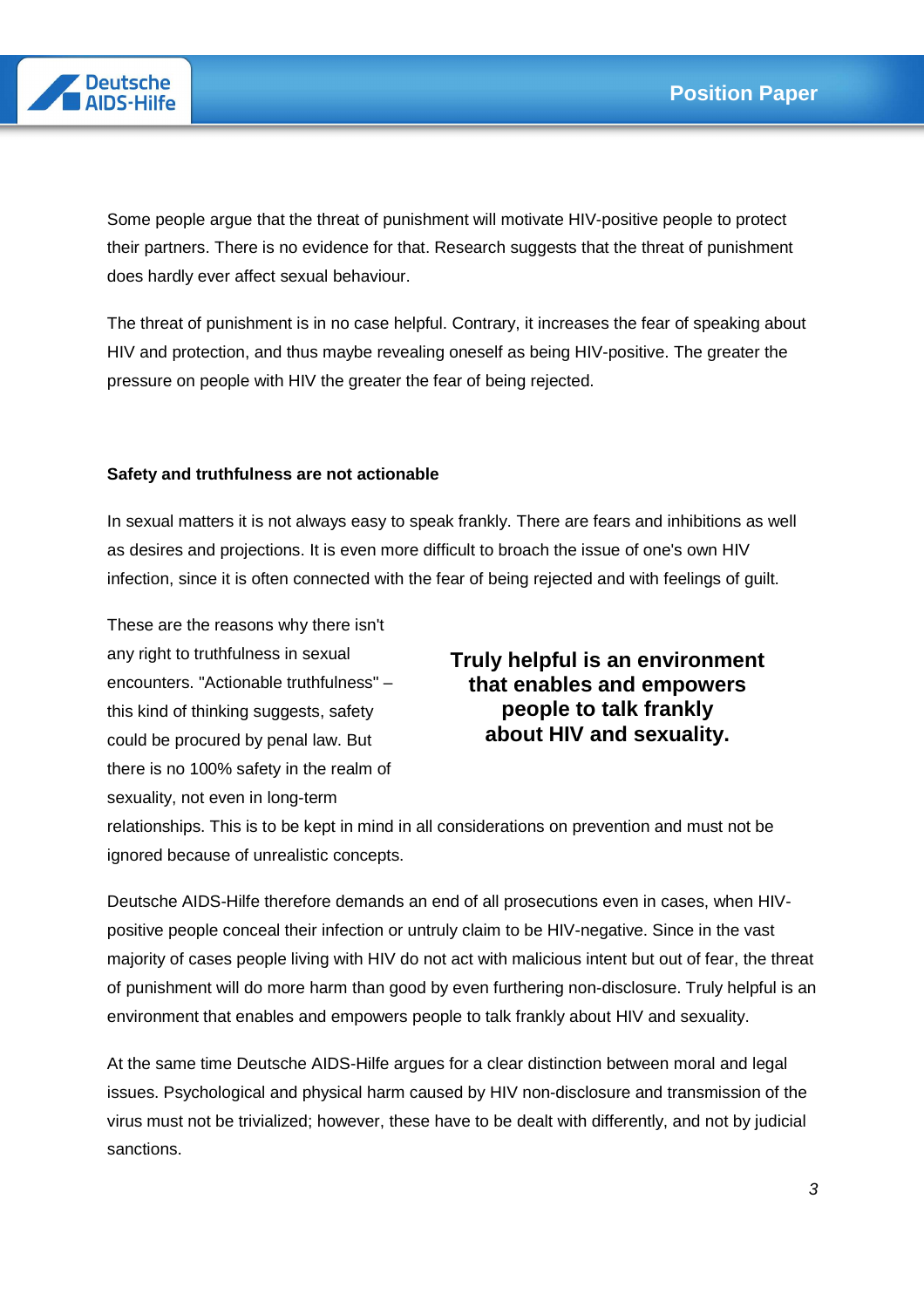

Some people argue that the threat of punishment will motivate HIV-positive people to protect their partners. There is no evidence for that. Research suggests that the threat of punishment does hardly ever affect sexual behaviour.

The threat of punishment is in no case helpful. Contrary, it increases the fear of speaking about HIV and protection, and thus maybe revealing oneself as being HIV-positive. The greater the pressure on people with HIV the greater the fear of being rejected.

#### **Safety and truthfulness are not actionable**

In sexual matters it is not always easy to speak frankly. There are fears and inhibitions as well as desires and projections. It is even more difficult to broach the issue of one's own HIV infection, since it is often connected with the fear of being rejected and with feelings of guilt.

These are the reasons why there isn't any right to truthfulness in sexual encounters. "Actionable truthfulness" – this kind of thinking suggests, safety could be procured by penal law. But there is no 100% safety in the realm of sexuality, not even in long-term

# **Truly helpful is an environment that enables and empowers people to talk frankly about HIV and sexuality.**

relationships. This is to be kept in mind in all considerations on prevention and must not be ignored because of unrealistic concepts.

Deutsche AIDS-Hilfe therefore demands an end of all prosecutions even in cases, when HIVpositive people conceal their infection or untruly claim to be HIV-negative. Since in the vast majority of cases people living with HIV do not act with malicious intent but out of fear, the threat of punishment will do more harm than good by even furthering non-disclosure. Truly helpful is an environment that enables and empowers people to talk frankly about HIV and sexuality.

At the same time Deutsche AIDS-Hilfe argues for a clear distinction between moral and legal issues. Psychological and physical harm caused by HIV non-disclosure and transmission of the virus must not be trivialized; however, these have to be dealt with differently, and not by judicial sanctions.